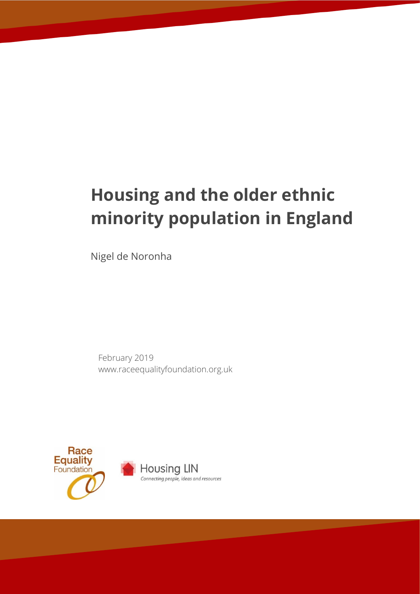# **Housing and the older ethnic minority population in England**

Nigel de Noronha

February 2019 www.raceequalityfoundation.org.uk



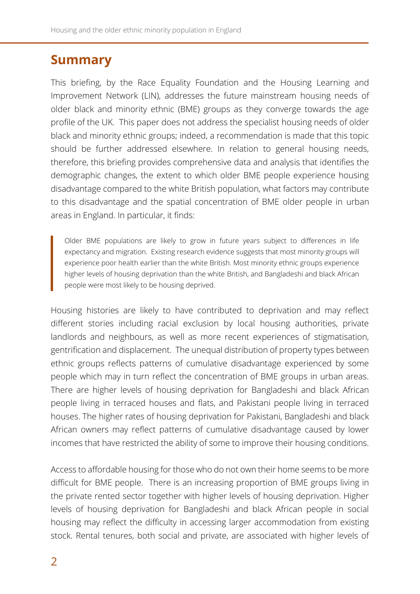### **Summary**

This briefing, by the Race Equality Foundation and the Housing Learning and Improvement Network (LIN), addresses the future mainstream housing needs of older black and minority ethnic (BME) groups as they converge towards the age profile of the UK. This paper does not address the specialist housing needs of older black and minority ethnic groups; indeed, a recommendation is made that this topic should be further addressed elsewhere. In relation to general housing needs, therefore, this briefing provides comprehensive data and analysis that identifies the demographic changes, the extent to which older BME people experience housing disadvantage compared to the white British population, what factors may contribute to this disadvantage and the spatial concentration of BME older people in urban areas in England. In particular, it finds:

Older BME populations are likely to grow in future years subject to differences in life expectancy and migration. Existing research evidence suggests that most minority groups will experience poor health earlier than the white British. Most minority ethnic groups experience higher levels of housing deprivation than the white British, and Bangladeshi and black African people were most likely to be housing deprived.

Housing histories are likely to have contributed to deprivation and may reflect different stories including racial exclusion by local housing authorities, private landlords and neighbours, as well as more recent experiences of stigmatisation, gentrification and displacement. The unequal distribution of property types between ethnic groups reflects patterns of cumulative disadvantage experienced by some people which may in turn reflect the concentration of BME groups in urban areas. There are higher levels of housing deprivation for Bangladeshi and black African people living in terraced houses and flats, and Pakistani people living in terraced houses. The higher rates of housing deprivation for Pakistani, Bangladeshi and black African owners may reflect patterns of cumulative disadvantage caused by lower incomes that have restricted the ability of some to improve their housing conditions.

Access to affordable housing for those who do not own their home seems to be more difficult for BME people. There is an increasing proportion of BME groups living in the private rented sector together with higher levels of housing deprivation. Higher levels of housing deprivation for Bangladeshi and black African people in social housing may reflect the difficulty in accessing larger accommodation from existing stock. Rental tenures, both social and private, are associated with higher levels of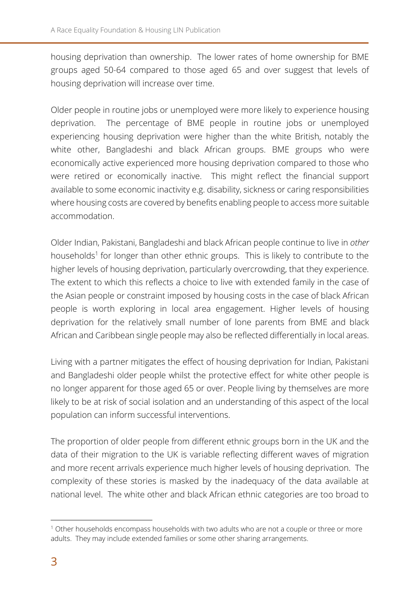housing deprivation than ownership. The lower rates of home ownership for BME groups aged 50-64 compared to those aged 65 and over suggest that levels of housing deprivation will increase over time.

Older people in routine jobs or unemployed were more likely to experience housing deprivation. The percentage of BME people in routine jobs or unemployed experiencing housing deprivation were higher than the white British, notably the white other, Bangladeshi and black African groups. BME groups who were economically active experienced more housing deprivation compared to those who were retired or economically inactive. This might reflect the financial support available to some economic inactivity e.g. disability, sickness or caring responsibilities where housing costs are covered by benefits enabling people to access more suitable accommodation.

Older Indian, Pakistani, Bangladeshi and black African people continue to live in *other* households<sup>1</sup> for longer than other ethnic groups. This is likely to contribute to the higher levels of housing deprivation, particularly overcrowding, that they experience. The extent to which this reflects a choice to live with extended family in the case of the Asian people or constraint imposed by housing costs in the case of black African people is worth exploring in local area engagement. Higher levels of housing deprivation for the relatively small number of lone parents from BME and black African and Caribbean single people may also be reflected differentially in local areas.

Living with a partner mitigates the effect of housing deprivation for Indian, Pakistani and Bangladeshi older people whilst the protective effect for white other people is no longer apparent for those aged 65 or over. People living by themselves are more likely to be at risk of social isolation and an understanding of this aspect of the local population can inform successful interventions.

The proportion of older people from different ethnic groups born in the UK and the data of their migration to the UK is variable reflecting different waves of migration and more recent arrivals experience much higher levels of housing deprivation. The complexity of these stories is masked by the inadequacy of the data available at national level. The white other and black African ethnic categories are too broad to

-

<sup>&</sup>lt;sup>1</sup> Other households encompass households with two adults who are not a couple or three or more adults. They may include extended families or some other sharing arrangements.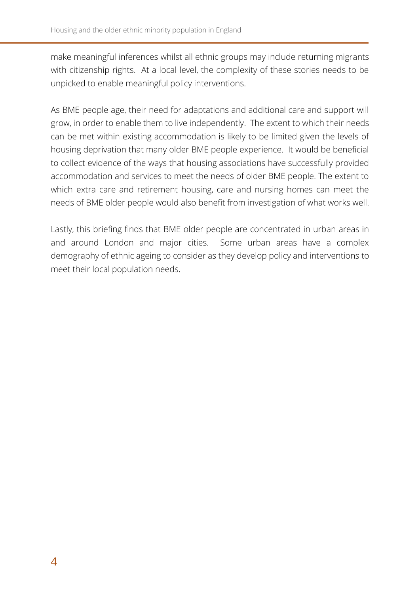make meaningful inferences whilst all ethnic groups may include returning migrants with citizenship rights. At a local level, the complexity of these stories needs to be unpicked to enable meaningful policy interventions.

As BME people age, their need for adaptations and additional care and support will grow, in order to enable them to live independently. The extent to which their needs can be met within existing accommodation is likely to be limited given the levels of housing deprivation that many older BME people experience. It would be beneficial to collect evidence of the ways that housing associations have successfully provided accommodation and services to meet the needs of older BME people. The extent to which extra care and retirement housing, care and nursing homes can meet the needs of BME older people would also benefit from investigation of what works well.

Lastly, this briefing finds that BME older people are concentrated in urban areas in and around London and major cities. Some urban areas have a complex demography of ethnic ageing to consider as they develop policy and interventions to meet their local population needs.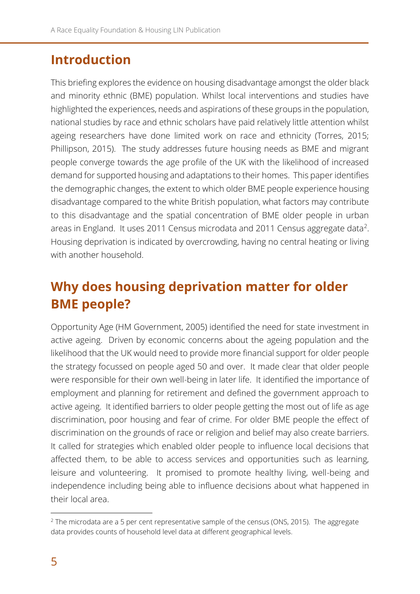## **Introduction**

This briefing explores the evidence on housing disadvantage amongst the older black and minority ethnic (BME) population. Whilst local interventions and studies have highlighted the experiences, needs and aspirations of these groups in the population, national studies by race and ethnic scholars have paid relatively little attention whilst ageing researchers have done limited work on race and ethnicity (Torres, 2015; Phillipson, 2015). The study addresses future housing needs as BME and migrant people converge towards the age profile of the UK with the likelihood of increased demand for supported housing and adaptations to their homes. This paper identifies the demographic changes, the extent to which older BME people experience housing disadvantage compared to the white British population, what factors may contribute to this disadvantage and the spatial concentration of BME older people in urban areas in England. It uses 2011 Census microdata and 2011 Census aggregate data<sup>2</sup>. Housing deprivation is indicated by overcrowding, having no central heating or living with another household.

# **Why does housing deprivation matter for older BME people?**

Opportunity Age (HM Government, 2005) identified the need for state investment in active ageing. Driven by economic concerns about the ageing population and the likelihood that the UK would need to provide more financial support for older people the strategy focussed on people aged 50 and over. It made clear that older people were responsible for their own well-being in later life. It identified the importance of employment and planning for retirement and defined the government approach to active ageing. It identified barriers to older people getting the most out of life as age discrimination, poor housing and fear of crime. For older BME people the effect of discrimination on the grounds of race or religion and belief may also create barriers. It called for strategies which enabled older people to influence local decisions that affected them, to be able to access services and opportunities such as learning, leisure and volunteering. It promised to promote healthy living, well-being and independence including being able to influence decisions about what happened in their local area.

-

 $2$  The microdata are a 5 per cent representative sample of the census (ONS, 2015). The aggregate data provides counts of household level data at different geographical levels.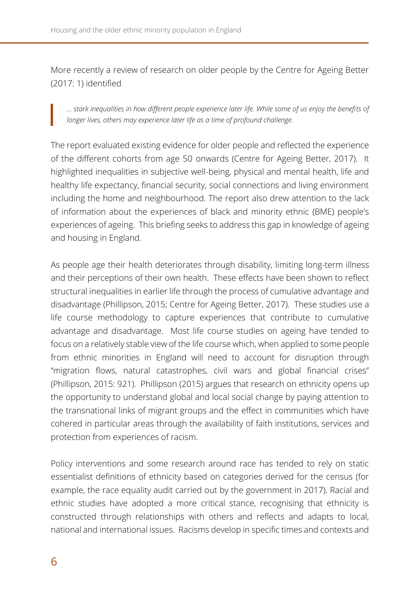More recently a review of research on older people by the Centre for Ageing Better (2017: 1) identified

*... stark inequalities in how different people experience later life. While some of us enjoy the benefits of longer lives, others may experience later life as a time of profound challenge.* 

The report evaluated existing evidence for older people and reflected the experience of the different cohorts from age 50 onwards (Centre for Ageing Better, 2017). It highlighted inequalities in subjective well-being, physical and mental health, life and healthy life expectancy, financial security, social connections and living environment including the home and neighbourhood. The report also drew attention to the lack of information about the experiences of black and minority ethnic (BME) people's experiences of ageing. This briefing seeks to address this gap in knowledge of ageing and housing in England.

As people age their health deteriorates through disability, limiting long-term illness and their perceptions of their own health. These effects have been shown to reflect structural inequalities in earlier life through the process of cumulative advantage and disadvantage (Phillipson, 2015; Centre for Ageing Better, 2017). These studies use a life course methodology to capture experiences that contribute to cumulative advantage and disadvantage. Most life course studies on ageing have tended to focus on a relatively stable view of the life course which, when applied to some people from ethnic minorities in England will need to account for disruption through "migration flows, natural catastrophes, civil wars and global financial crises" (Phillipson, 2015: 921). Phillipson (2015) argues that research on ethnicity opens up the opportunity to understand global and local social change by paying attention to the transnational links of migrant groups and the effect in communities which have cohered in particular areas through the availability of faith institutions, services and protection from experiences of racism.

Policy interventions and some research around race has tended to rely on static essentialist definitions of ethnicity based on categories derived for the census (for example, the race equality audit carried out by the government in 2017). Racial and ethnic studies have adopted a more critical stance, recognising that ethnicity is constructed through relationships with others and reflects and adapts to local, national and international issues. Racisms develop in specific times and contexts and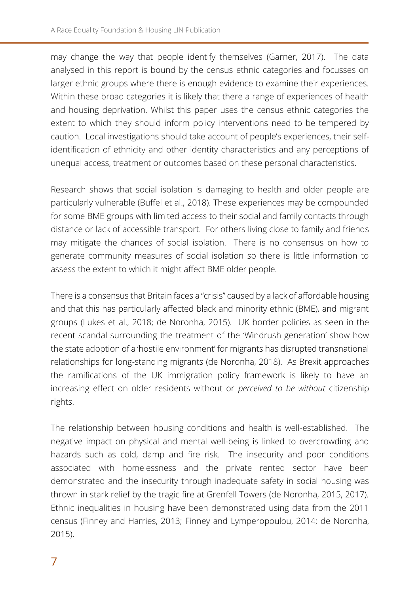may change the way that people identify themselves (Garner, 2017). The data analysed in this report is bound by the census ethnic categories and focusses on larger ethnic groups where there is enough evidence to examine their experiences. Within these broad categories it is likely that there a range of experiences of health and housing deprivation. Whilst this paper uses the census ethnic categories the extent to which they should inform policy interventions need to be tempered by caution. Local investigations should take account of people's experiences, their selfidentification of ethnicity and other identity characteristics and any perceptions of unequal access, treatment or outcomes based on these personal characteristics.

Research shows that social isolation is damaging to health and older people are particularly vulnerable (Buffel et al., 2018). These experiences may be compounded for some BME groups with limited access to their social and family contacts through distance or lack of accessible transport. For others living close to family and friends may mitigate the chances of social isolation. There is no consensus on how to generate community measures of social isolation so there is little information to assess the extent to which it might affect BME older people.

There is a consensus that Britain faces a "crisis" caused by a lack of affordable housing and that this has particularly affected black and minority ethnic (BME), and migrant groups (Lukes et al., 2018; de Noronha, 2015). UK border policies as seen in the recent scandal surrounding the treatment of the 'Windrush generation' show how the state adoption of a 'hostile environment' for migrants has disrupted transnational relationships for long-standing migrants (de Noronha, 2018). As Brexit approaches the ramifications of the UK immigration policy framework is likely to have an increasing effect on older residents without or *perceived to be without* citizenship rights.

The relationship between housing conditions and health is well-established. The negative impact on physical and mental well-being is linked to overcrowding and hazards such as cold, damp and fire risk. The insecurity and poor conditions associated with homelessness and the private rented sector have been demonstrated and the insecurity through inadequate safety in social housing was thrown in stark relief by the tragic fire at Grenfell Towers (de Noronha, 2015, 2017). Ethnic inequalities in housing have been demonstrated using data from the 2011 census (Finney and Harries, 2013; Finney and Lymperopoulou, 2014; de Noronha, 2015).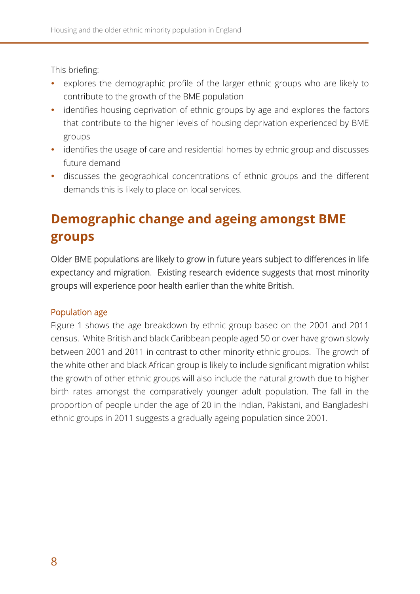This briefing:

- explores the demographic profile of the larger ethnic groups who are likely to contribute to the growth of the BME population
- identifies housing deprivation of ethnic groups by age and explores the factors that contribute to the higher levels of housing deprivation experienced by BME groups
- identifies the usage of care and residential homes by ethnic group and discusses future demand
- discusses the geographical concentrations of ethnic groups and the different demands this is likely to place on local services.

# **Demographic change and ageing amongst BME groups**

Older BME populations are likely to grow in future years subject to differences in life expectancy and migration. Existing research evidence suggests that most minority groups will experience poor health earlier than the white British.

### Population age

Figure 1 shows the age breakdown by ethnic group based on the 2001 and 2011 census. White British and black Caribbean people aged 50 or over have grown slowly between 2001 and 2011 in contrast to other minority ethnic groups. The growth of the white other and black African group is likely to include significant migration whilst the growth of other ethnic groups will also include the natural growth due to higher birth rates amongst the comparatively younger adult population. The fall in the proportion of people under the age of 20 in the Indian, Pakistani, and Bangladeshi ethnic groups in 2011 suggests a gradually ageing population since 2001.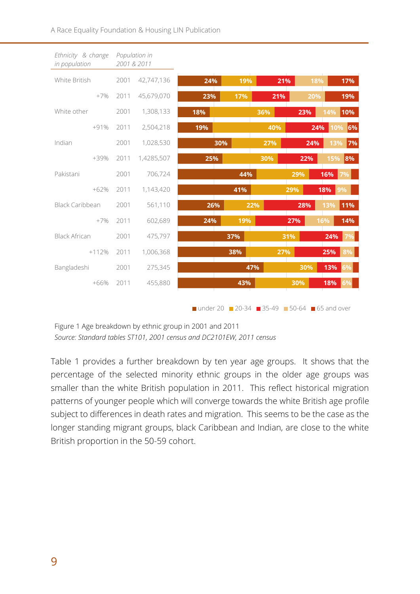| Ethnicity & change<br>in population | 2001 & 2011 | Population in |     |     |     |     |     |     |
|-------------------------------------|-------------|---------------|-----|-----|-----|-----|-----|-----|
| White British                       | 2001        | 42,747,136    | 24% | 19% | 21% | 18% |     | 17% |
| $+7%$                               | 2011        | 45,679,070    | 23% | 17% | 21% | 20% |     | 19% |
| White other                         | 2001        | 1,308,133     | 18% |     | 36% | 23% | 14% | 10% |
| $+91%$                              | 2011        | 2,504,218     | 19% |     | 40% | 24% | 10% | 6%  |
| Indian                              | 2001        | 1,028,530     | 30% |     | 27% | 24% | 13% | 7%  |
| $+39%$                              | 2011        | 1,4285,507    | 25% |     | 30% | 22% | 15% | 8%  |
| Pakistani                           | 2001        | 706,724       |     | 44% |     | 29% | 16% | 7%  |
| $+62%$                              | 2011        | 1,143,420     |     | 41% |     | 29% | 18% | 9%  |
| <b>Black Caribbean</b>              | 2001        | 561,110       | 26% | 22% |     | 28% | 13% | 11% |
| $+7%$                               | 2011        | 602,689       | 24% | 19% |     | 27% | 16% | 14% |
| <b>Black African</b>                | 2001        | 475,797       |     | 37% |     | 31% | 24% | 7%  |
| $+112%$                             | 2011        | 1,006,368     |     | 38% | 27% |     | 25% | 8%  |
| Bangladeshi                         | 2001        | 275,345       |     | 47% |     | 30% | 13% | 6%  |
| $+66%$                              | 2011        | 455,880       |     | 43% |     | 30% | 18% | 6%  |
|                                     |             |               |     |     |     |     |     |     |

■ under 20  $\blacksquare$  20-34  $\blacksquare$  35-49  $\blacksquare$  50-64  $\blacksquare$  65 and over

Figure 1 Age breakdown by ethnic group in 2001 and 2011 *Source: Standard tables ST101, 2001 census and DC2101EW, 2011 census*

Table 1 provides a further breakdown by ten year age groups. It shows that the percentage of the selected minority ethnic groups in the older age groups was smaller than the white British population in 2011. This reflect historical migration patterns of younger people which will converge towards the white British age profile subject to differences in death rates and migration. This seems to be the case as the longer standing migrant groups, black Caribbean and Indian, are close to the white British proportion in the 50-59 cohort.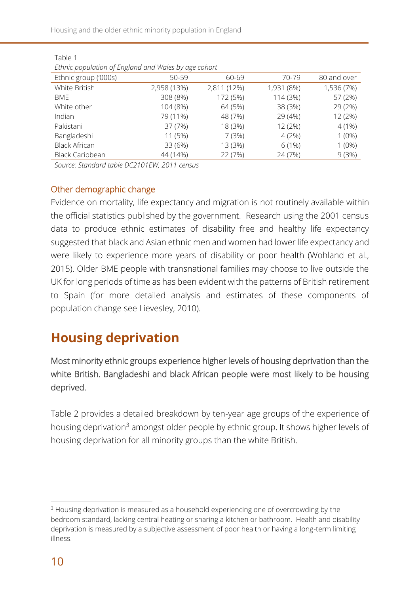Housing and the older ethnic minority population in England

| Lumic population of Lingiana and Wales by age conort |             |             |            |             |  |
|------------------------------------------------------|-------------|-------------|------------|-------------|--|
| Ethnic group ('000s)                                 | 50-59       | 60-69       | 70-79      | 80 and over |  |
| White British                                        | 2,958 (13%) | 2,811 (12%) | 1,931 (8%) | 1,536 (7%)  |  |
| BME                                                  | 308 (8%)    | 172 (5%)    | 114 (3%)   | 57 (2%)     |  |
| White other                                          | 104 (8%)    | 64 (5%)     | 38 (3%)    | 29 (2%)     |  |
| Indian                                               | 79 (11%)    | 48 (7%)     | 29 (4%)    | 12 (2%)     |  |
| Pakistani                                            | 37 (7%)     | 18 (3%)     | 12 (2%)    | $4(1\%)$    |  |
| Bangladeshi                                          | 11 (5%)     | 7(3%)       | 4(2%)      | $1(0\%)$    |  |
| <b>Black African</b>                                 | 33 (6%)     | 13 (3%)     | $6(1\%)$   | $1(0\%)$    |  |
| <b>Black Caribbean</b>                               | 44 (14%)    | 22 (7%)     | 24 (7%)    | 9(3%)       |  |

Table 1

*Ethnic population of England and Wales by age cohort*

*Source: Standard table DC2101EW, 2011 census*

### Other demographic change

Evidence on mortality, life expectancy and migration is not routinely available within the official statistics published by the government. Research using the 2001 census data to produce ethnic estimates of disability free and healthy life expectancy suggested that black and Asian ethnic men and women had lower life expectancy and were likely to experience more years of disability or poor health (Wohland et al., 2015). Older BME people with transnational families may choose to live outside the UK for long periods of time as has been evident with the patterns of British retirement to Spain (for more detailed analysis and estimates of these components of population change see Lievesley, 2010).

# **Housing deprivation**

Most minority ethnic groups experience higher levels of housing deprivation than the white British. Bangladeshi and black African people were most likely to be housing deprived.

Table 2 provides a detailed breakdown by ten-year age groups of the experience of housing deprivation<sup>3</sup> amongst older people by ethnic group. It shows higher levels of housing deprivation for all minority groups than the white British.

-

<sup>&</sup>lt;sup>3</sup> Housing deprivation is measured as a household experiencing one of overcrowding by the bedroom standard, lacking central heating or sharing a kitchen or bathroom. Health and disability deprivation is measured by a subjective assessment of poor health or having a long-term limiting illness.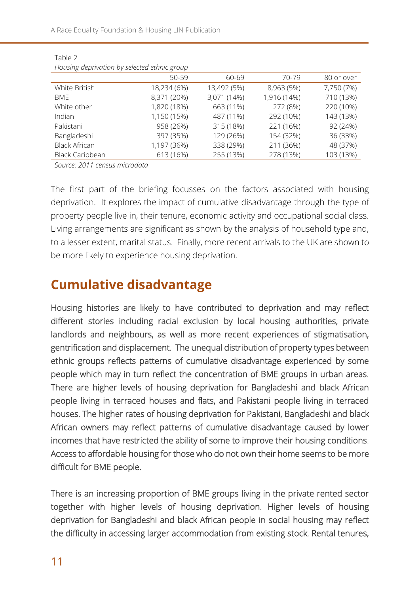A Race Equality Foundation & Housing LIN Publication

|                      | $-1$        |             |             |            |
|----------------------|-------------|-------------|-------------|------------|
|                      | 50-59       | 60-69       | 70-79       | 80 or over |
| White British        | 18,234 (6%) | 13,492 (5%) | 8,963 (5%)  | 7,750 (7%) |
| <b>BME</b>           | 8,371 (20%) | 3,071 (14%) | 1,916 (14%) | 710 (13%)  |
| White other          | 1,820 (18%) | 663 (11%)   | 272 (8%)    | 220 (10%)  |
| Indian               | 1,150 (15%) | 487 (11%)   | 292 (10%)   | 143 (13%)  |
| Pakistani            | 958 (26%)   | 315 (18%)   | 221 (16%)   | 92 (24%)   |
| Bangladeshi          | 397 (35%)   | 129 (26%)   | 154 (32%)   | 36 (33%)   |
| <b>Black African</b> | 1,197 (36%) | 338 (29%)   | 211 (36%)   | 48 (37%)   |
| Black Caribbean      | 613 (16%)   | 255 (13%)   | 278 (13%)   | 103 (13%)  |
|                      |             |             |             |            |

Table 2 *Housing deprivation by selected ethnic group*

*Source: 2011 census microdata*

The first part of the briefing focusses on the factors associated with housing deprivation. It explores the impact of cumulative disadvantage through the type of property people live in, their tenure, economic activity and occupational social class. Living arrangements are significant as shown by the analysis of household type and, to a lesser extent, marital status. Finally, more recent arrivals to the UK are shown to be more likely to experience housing deprivation.

### **Cumulative disadvantage**

Housing histories are likely to have contributed to deprivation and may reflect different stories including racial exclusion by local housing authorities, private landlords and neighbours, as well as more recent experiences of stigmatisation, gentrification and displacement. The unequal distribution of property types between ethnic groups reflects patterns of cumulative disadvantage experienced by some people which may in turn reflect the concentration of BME groups in urban areas. There are higher levels of housing deprivation for Bangladeshi and black African people living in terraced houses and flats, and Pakistani people living in terraced houses. The higher rates of housing deprivation for Pakistani, Bangladeshi and black African owners may reflect patterns of cumulative disadvantage caused by lower incomes that have restricted the ability of some to improve their housing conditions. Access to affordable housing for those who do not own their home seems to be more difficult for BME people.

There is an increasing proportion of BME groups living in the private rented sector together with higher levels of housing deprivation. Higher levels of housing deprivation for Bangladeshi and black African people in social housing may reflect the difficulty in accessing larger accommodation from existing stock. Rental tenures,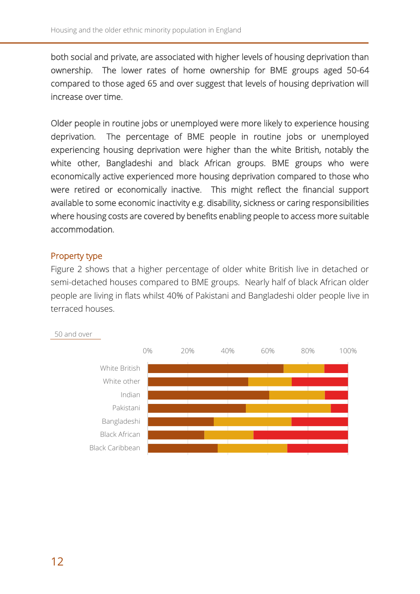both social and private, are associated with higher levels of housing deprivation than ownership. The lower rates of home ownership for BME groups aged 50-64 compared to those aged 65 and over suggest that levels of housing deprivation will increase over time.

Older people in routine jobs or unemployed were more likely to experience housing deprivation. The percentage of BME people in routine jobs or unemployed experiencing housing deprivation were higher than the white British, notably the white other, Bangladeshi and black African groups. BME groups who were economically active experienced more housing deprivation compared to those who were retired or economically inactive. This might reflect the financial support available to some economic inactivity e.g. disability, sickness or caring responsibilities where housing costs are covered by benefits enabling people to access more suitable accommodation.

### Property type

Figure 2 shows that a higher percentage of older white British live in detached or semi-detached houses compared to BME groups. Nearly half of black African older people are living in flats whilst 40% of Pakistani and Bangladeshi older people live in terraced houses.



50 and over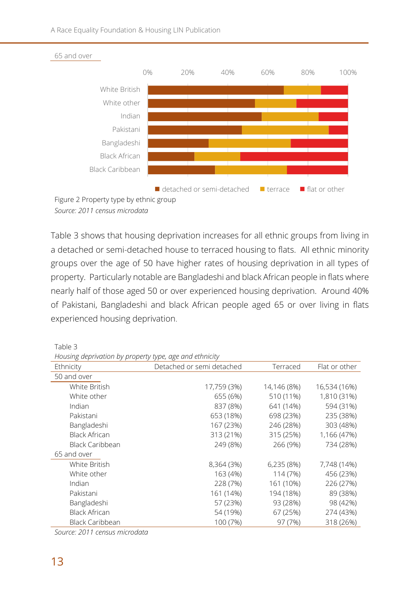

*Source: 2011 census microdata*

Table 3 shows that housing deprivation increases for all ethnic groups from living in a detached or semi-detached house to terraced housing to flats. All ethnic minority groups over the age of 50 have higher rates of housing deprivation in all types of property. Particularly notable are Bangladeshi and black African people in flats where nearly half of those aged 50 or over experienced housing deprivation. Around 40% of Pakistani, Bangladeshi and black African people aged 65 or over living in flats experienced housing deprivation.

Table 3

*Housing deprivation by property type, age and ethnicity* 

| roading acprivation by property type, age and cummert,<br>Ethnicity | Detached or semi detached | Terraced    | Flat or other |
|---------------------------------------------------------------------|---------------------------|-------------|---------------|
| 50 and over                                                         |                           |             |               |
| White British                                                       | 17,759 (3%)               | 14,146 (8%) | 16,534 (16%)  |
| White other                                                         | 655 (6%)                  | 510 (11%)   | 1,810 (31%)   |
| Indian                                                              | 837 (8%)                  | 641 (14%)   | 594 (31%)     |
| Pakistani                                                           | 653 (18%)                 | 698 (23%)   | 235 (38%)     |
| Bangladeshi                                                         | 167 (23%)                 | 246 (28%)   | 303 (48%)     |
| <b>Black African</b>                                                | 313 (21%)                 | 315 (25%)   | 1,166 (47%)   |
| <b>Black Caribbean</b>                                              | 249 (8%)                  | 266 (9%)    | 734 (28%)     |
| 65 and over                                                         |                           |             |               |
| White British                                                       | 8,364 (3%)                | 6,235 (8%)  | 7,748 (14%)   |
| White other                                                         | 163 (4%)                  | 114 (7%)    | 456 (23%)     |
| Indian                                                              | 228 (7%)                  | 161 (10%)   | 226 (27%)     |
| Pakistani                                                           | 161 (14%)                 | 194 (18%)   | 89 (38%)      |
| Bangladeshi                                                         | 57 (23%)                  | 93 (28%)    | 98 (42%)      |
| <b>Black African</b>                                                | 54 (19%)                  | 67 (25%)    | 274 (43%)     |
| <b>Black Caribbean</b>                                              | 100 (7%)                  | 97 (7%)     | 318 (26%)     |

*Source: 2011 census microdata*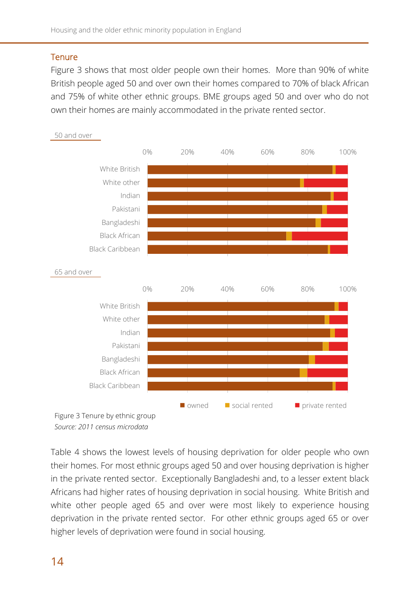### **Tenure**

Figure 3 shows that most older people own their homes. More than 90% of white British people aged 50 and over own their homes compared to 70% of black African and 75% of white other ethnic groups. BME groups aged 50 and over who do not own their homes are mainly accommodated in the private rented sector.



Table 4 shows the lowest levels of housing deprivation for older people who own their homes. For most ethnic groups aged 50 and over housing deprivation is higher in the private rented sector. Exceptionally Bangladeshi and, to a lesser extent black Africans had higher rates of housing deprivation in social housing. White British and white other people aged 65 and over were most likely to experience housing deprivation in the private rented sector. For other ethnic groups aged 65 or over higher levels of deprivation were found in social housing.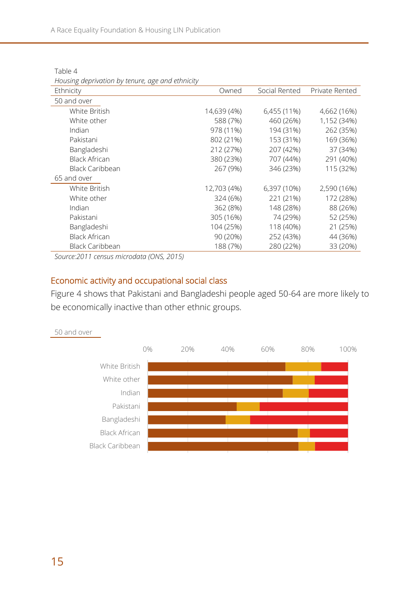| Troubling acprivation by tenarc, age and cultimetry |             |               |                |
|-----------------------------------------------------|-------------|---------------|----------------|
| Ethnicity                                           | Owned       | Social Rented | Private Rented |
| 50 and over                                         |             |               |                |
| White British                                       | 14,639 (4%) | 6,455 (11%)   | 4,662 (16%)    |
| White other                                         | 588 (7%)    | 460 (26%)     | 1,152 (34%)    |
| Indian                                              | 978 (11%)   | 194 (31%)     | 262 (35%)      |
| Pakistani                                           | 802 (21%)   | 153 (31%)     | 169 (36%)      |
| Bangladeshi                                         | 212 (27%)   | 207 (42%)     | 37 (34%)       |
| Black African                                       | 380 (23%)   | 707 (44%)     | 291 (40%)      |
| <b>Black Caribbean</b>                              | 267 (9%)    | 346 (23%)     | 115 (32%)      |
| 65 and over                                         |             |               |                |
| White British                                       | 12,703 (4%) | 6,397 (10%)   | 2,590 (16%)    |
| White other                                         | 324 (6%)    | 221 (21%)     | 172 (28%)      |
| Indian                                              | 362 (8%)    | 148 (28%)     | 88 (26%)       |
| Pakistani                                           | 305 (16%)   | 74 (29%)      | 52 (25%)       |
| Bangladeshi                                         | 104 (25%)   | 118 (40%)     | 21 (25%)       |
| Black African                                       | 90 (20%)    | 252 (43%)     | 44 (36%)       |
| <b>Black Caribbean</b>                              | 188 (7%)    | 280 (22%)     | 33 (20%)       |

Table 4 *Housing deprivation by tenure, age and ethnicity*

*Source:2011 census microdata (ONS, 2015)*

### Economic activity and occupational social class

Figure 4 shows that Pakistani and Bangladeshi people aged 50-64 are more likely to be economically inactive than other ethnic groups.



50 and over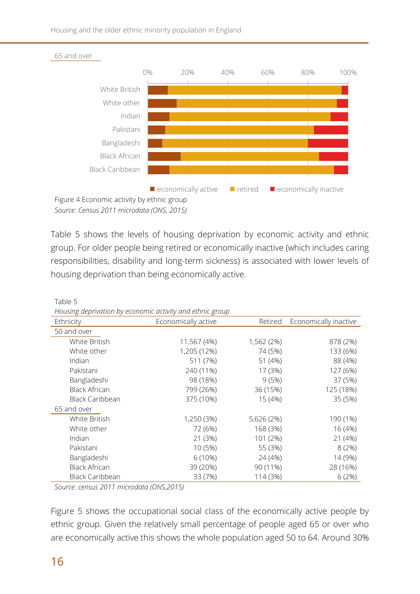Housing and the older ethnic minority population in England



*Source: Census 2011 microdata (ONS, 2015)*

Table 5 shows the levels of housing deprivation by economic activity and ethnic group. For older people being retired or economically inactive (which includes caring responsibilities, disability and long-term sickness) is associated with lower levels of housing deprivation than being economically active.

| Housing deprivation by economic activity and ethnic group |                     |            |                       |  |  |
|-----------------------------------------------------------|---------------------|------------|-----------------------|--|--|
| Ethnicity                                                 | Economically active | Retired    | Economically inactive |  |  |
| 50 and over                                               |                     |            |                       |  |  |
| White British                                             | 11,567 (4%)         | 1,562 (2%) | 878 (2%)              |  |  |
| White other                                               | 1,205 (12%)         | 74 (5%)    | 133 (6%)              |  |  |
| Indian                                                    | 511 (7%)            | 51 (4%)    | 88 (4%)               |  |  |
| Pakistani                                                 | 240 (11%)           | 17 (3%)    | 127 (6%)              |  |  |
| Bangladeshi                                               | 98 (18%)            | 9(5%)      | 37 (5%)               |  |  |
| <b>Black African</b>                                      | 799 (26%)           | 36 (15%)   | 125 (18%)             |  |  |
| Black Caribbean                                           | 375 (10%)           | 15 (4%)    | 35 (5%)               |  |  |
| 65 and over                                               |                     |            |                       |  |  |
| White British                                             | 1,250 (3%)          | 5,626 (2%) | 190 (1%)              |  |  |
| White other                                               | 72 (6%)             | 168 (3%)   | 16 (4%)               |  |  |
| Indian                                                    | 21 (3%)             | 101 (2%)   | 21 (4%)               |  |  |
| Pakistani                                                 | 10 (5%)             | 55 (3%)    | 8(2%)                 |  |  |
| Bangladeshi                                               | $6(10\%)$           | 24 (4%)    | 14 (9%)               |  |  |
| <b>Black African</b>                                      | 39 (20%)            | 90 (11%)   | 28 (16%)              |  |  |
| <b>Black Caribbean</b>                                    | 33 (7%)             | 114 (3%)   | 6(2%)                 |  |  |

Table 5

*Source: census 2011 microdata (ONS,2015)*

Figure 5 shows the occupational social class of the economically active people by ethnic group. Given the relatively small percentage of people aged 65 or over who are economically active this shows the whole population aged 50 to 64. Around 30%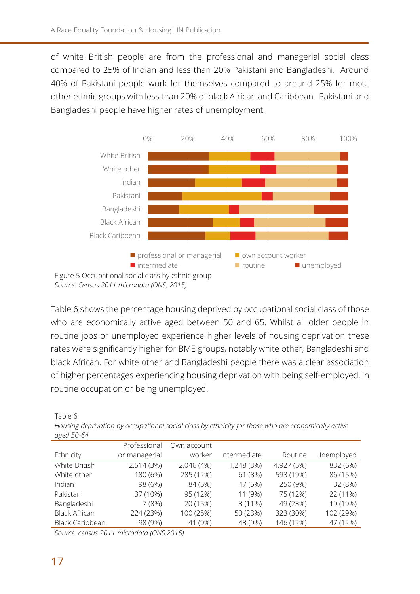of white British people are from the professional and managerial social class compared to 25% of Indian and less than 20% Pakistani and Bangladeshi. Around 40% of Pakistani people work for themselves compared to around 25% for most other ethnic groups with less than 20% of black African and Caribbean. Pakistani and Bangladeshi people have higher rates of unemployment.



Table 6 shows the percentage housing deprived by occupational social class of those who are economically active aged between 50 and 65. Whilst all older people in routine jobs or unemployed experience higher levels of housing deprivation these rates were significantly higher for BME groups, notably white other, Bangladeshi and black African. For white other and Bangladeshi people there was a clear association of higher percentages experiencing housing deprivation with being self-employed, in routine occupation or being unemployed.

| agea 50-64             |               |             |              |            |            |
|------------------------|---------------|-------------|--------------|------------|------------|
|                        | Professional  | Own account |              |            |            |
| Ethnicity              | or managerial | worker      | Intermediate | Routine    | Unemployed |
| White British          | 2,514 (3%)    | 2,046 (4%)  | 1,248 (3%)   | 4,927 (5%) | 832 (6%)   |
| White other            | 180 (6%)      | 285 (12%)   | 61 (8%)      | 593 (19%)  | 86 (15%)   |
| Indian                 | 98 (6%)       | 84 (5%)     | 47 (5%)      | 250 (9%)   | 32 (8%)    |
| Pakistani              | 37 (10%)      | 95 (12%)    | 11 (9%)      | 75 (12%)   | 22 (11%)   |
| Bangladeshi            | 7(8%)         | 20 (15%)    | $3(11\%)$    | 49 (23%)   | 19 (19%)   |
| <b>Black African</b>   | 224 (23%)     | 100 (25%)   | 50 (23%)     | 323 (30%)  | 102 (29%)  |
| <b>Black Caribbean</b> | 98 (9%)       | 41 (9%)     | 43 (9%)      | 146 (12%)  | 47 (12%)   |

*Housing deprivation by occupational social class by ethnicity for those who are economically active aged 50-64*

*Source: census 2011 microdata (ONS,2015)*

Table 6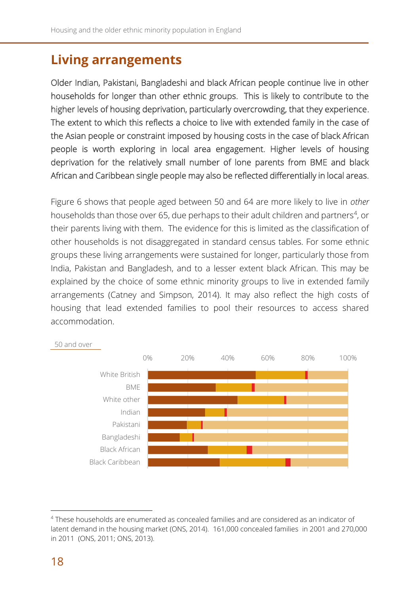### **Living arrangements**

Older Indian, Pakistani, Bangladeshi and black African people continue live in other households for longer than other ethnic groups. This is likely to contribute to the higher levels of housing deprivation, particularly overcrowding, that they experience. The extent to which this reflects a choice to live with extended family in the case of the Asian people or constraint imposed by housing costs in the case of black African people is worth exploring in local area engagement. Higher levels of housing deprivation for the relatively small number of lone parents from BME and black African and Caribbean single people may also be reflected differentially in local areas.

Figure 6 shows that people aged between 50 and 64 are more likely to live in *other* households than those over 65, due perhaps to their adult children and partners<sup>4</sup>, or their parents living with them. The evidence for this is limited as the classification of other households is not disaggregated in standard census tables. For some ethnic groups these living arrangements were sustained for longer, particularly those from India, Pakistan and Bangladesh, and to a lesser extent black African. This may be explained by the choice of some ethnic minority groups to live in extended family arrangements (Catney and Simpson, 2014). It may also reflect the high costs of housing that lead extended families to pool their resources to access shared accommodation.



#### 50 and over

 $\overline{\phantom{a}}$ 

<sup>4</sup> These households are enumerated as concealed families and are considered as an indicator of latent demand in the housing market (ONS, 2014). 161,000 concealed families in 2001 and 270,000 in 2011 (ONS, 2011; ONS, 2013).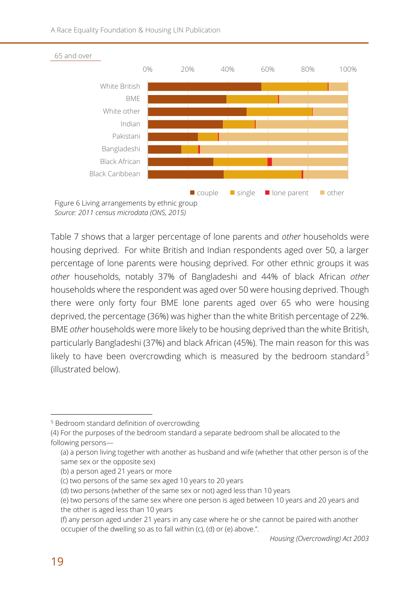A Race Equality Foundation & Housing LIN Publication



*Source: 2011 census microdata (ONS, 2015)*

Table 7 shows that a larger percentage of lone parents and *other* households were housing deprived. For white British and Indian respondents aged over 50, a larger percentage of lone parents were housing deprived. For other ethnic groups it was *other* households, notably 37% of Bangladeshi and 44% of black African *other* households where the respondent was aged over 50 were housing deprived. Though there were only forty four BME lone parents aged over 65 who were housing deprived, the percentage (36%) was higher than the white British percentage of 22%. BME *other* households were more likely to be housing deprived than the white British, particularly Bangladeshi (37%) and black African (45%). The main reason for this was likely to have been overcrowding which is measured by the bedroom standard<sup>5</sup> (illustrated below).

-

<sup>5</sup> Bedroom standard definition of overcrowding

<sup>(4)</sup> For the purposes of the bedroom standard a separate bedroom shall be allocated to the following persons—

<sup>(</sup>a) a person living together with another as husband and wife (whether that other person is of the same sex or the opposite sex)

<sup>(</sup>b) a person aged 21 years or more

<sup>(</sup>c) two persons of the same sex aged 10 years to 20 years

<sup>(</sup>d) two persons (whether of the same sex or not) aged less than 10 years

<sup>(</sup>e) two persons of the same sex where one person is aged between 10 years and 20 years and the other is aged less than 10 years

<sup>(</sup>f) any person aged under 21 years in any case where he or she cannot be paired with another occupier of the dwelling so as to fall within (c), (d) or (e) above.".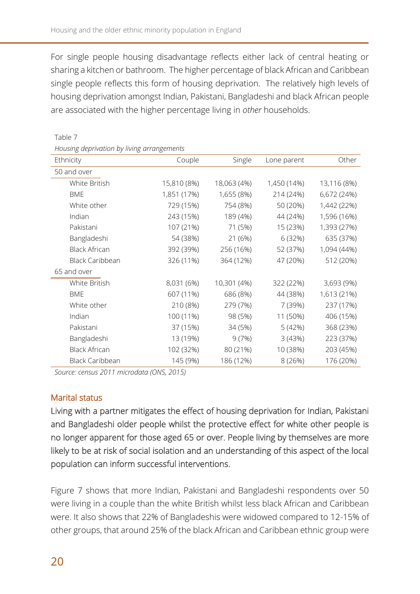For single people housing disadvantage reflects either lack of central heating or sharing a kitchen or bathroom. The higher percentage of black African and Caribbean single people reflects this form of housing deprivation. The relatively high levels of housing deprivation amongst Indian, Pakistani, Bangladeshi and black African people are associated with the higher percentage living in *other* households.

Ethnicity **Couple** Single Lone parent Other 50 and over White British 15,810 (8%) 18,063 (4%) 1,450 (14%) 13,116 (8%) BME 1,851 (17%) 1,655 (8%) 214 (24%) 6,672 (24%) White other **729 (15%)** 754 (8%) 50 (20%) 1,442 (22%) Indian 243 (15%) 189 (4%) 44 (24%) 1,596 (16%) Pakistani 107 (21%) 71 (5%) 15 (23%) 1,393 (27%) Bangladeshi 54 (38%) 21 (6%) 6 (32%) 635 (37%) Black African 392 (39%) 256 (16%) 52 (37%) 1,094 (44%) Black Caribbean 326 (11%) 364 (12%) 47 (20%) 512 (20%) 65 and over White British 8,031 (6%) 10,301 (4%) 322 (22%) 3,693 (9%) BME 607 (11%) 686 (8%) 44 (38%) 1,613 (21%) White other 210 (8%) 279 (7%) 7 (39%) 237 (17%) Indian 100 (11%) 98 (5%) 11 (50%) 406 (15%) Pakistani 37 (15%) 34 (5%) 5 (42%) 368 (23%) Bangladeshi 13 (19%) 9 (7%) 3 (43%) 223 (37%) Black African 102 (32%) 80 (21%) 10 (38%) 203 (45%) Black Caribbean 145 (9%) 186 (12%) 8 (26%) 176 (20%)

### Table 7

*Housing deprivation by living arrangements*

*Source: census 2011 microdata (ONS, 2015)*

### Marital status

Living with a partner mitigates the effect of housing deprivation for Indian, Pakistani and Bangladeshi older people whilst the protective effect for white other people is no longer apparent for those aged 65 or over. People living by themselves are more likely to be at risk of social isolation and an understanding of this aspect of the local population can inform successful interventions.

Figure 7 shows that more Indian, Pakistani and Bangladeshi respondents over 50 were living in a couple than the white British whilst less black African and Caribbean were. It also shows that 22% of Bangladeshis were widowed compared to 12-15% of other groups, that around 25% of the black African and Caribbean ethnic group were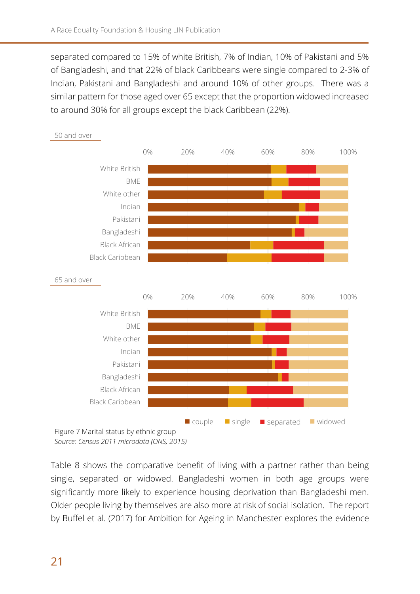separated compared to 15% of white British, 7% of Indian, 10% of Pakistani and 5% of Bangladeshi, and that 22% of black Caribbeans were single compared to 2-3% of Indian, Pakistani and Bangladeshi and around 10% of other groups. There was a similar pattern for those aged over 65 except that the proportion widowed increased to around 30% for all groups except the black Caribbean (22%).



50 and over

*Source: Census 2011 microdata (ONS, 2015)*

Table 8 shows the comparative benefit of living with a partner rather than being single, separated or widowed. Bangladeshi women in both age groups were significantly more likely to experience housing deprivation than Bangladeshi men. Older people living by themselves are also more at risk of social isolation. The report by Buffel et al. (2017) for Ambition for Ageing in Manchester explores the evidence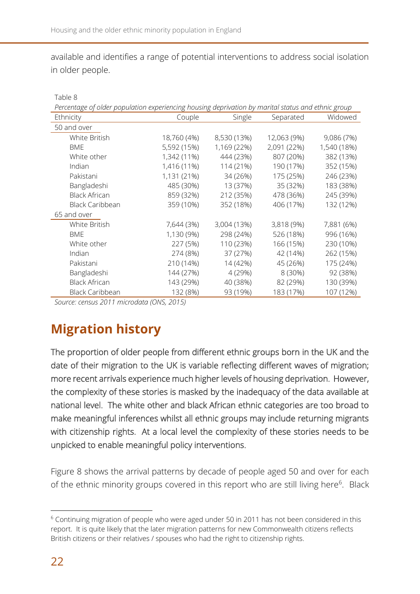available and identifies a range of potential interventions to address social isolation in older people.

| Percentage of older population experiencing housing deprivation by marital status and ethnic group |             |             |             |             |
|----------------------------------------------------------------------------------------------------|-------------|-------------|-------------|-------------|
| Ethnicity                                                                                          | Couple      | Single      | Separated   | Widowed     |
| 50 and over                                                                                        |             |             |             |             |
| White British                                                                                      | 18,760 (4%) | 8,530 (13%) | 12,063 (9%) | 9,086 (7%)  |
| <b>BME</b>                                                                                         | 5,592 (15%) | 1,169 (22%) | 2,091 (22%) | 1,540 (18%) |
| White other                                                                                        | 1,342 (11%) | 444 (23%)   | 807 (20%)   | 382 (13%)   |
| Indian                                                                                             | 1,416 (11%) | 114 (21%)   | 190 (17%)   | 352 (15%)   |
| Pakistani                                                                                          | 1,131 (21%) | 34 (26%)    | 175 (25%)   | 246 (23%)   |
| Bangladeshi                                                                                        | 485 (30%)   | 13 (37%)    | 35 (32%)    | 183 (38%)   |
| <b>Black African</b>                                                                               | 859 (32%)   | 212 (35%)   | 478 (36%)   | 245 (39%)   |
| Black Caribbean                                                                                    | 359 (10%)   | 352 (18%)   | 406 (17%)   | 132 (12%)   |
| 65 and over                                                                                        |             |             |             |             |
| White British                                                                                      | 7,644 (3%)  | 3,004 (13%) | 3,818 (9%)  | 7,881 (6%)  |
| <b>BME</b>                                                                                         | 1,130 (9%)  | 298 (24%)   | 526 (18%)   | 996 (16%)   |
| White other                                                                                        | 227 (5%)    | 110 (23%)   | 166 (15%)   | 230 (10%)   |
| Indian                                                                                             | 274 (8%)    | 37 (27%)    | 42 (14%)    | 262 (15%)   |
| Pakistani                                                                                          | 210 (14%)   | 14 (42%)    | 45 (26%)    | 175 (24%)   |
| Bangladeshi                                                                                        | 144 (27%)   | 4 (29%)     | 8 (30%)     | 92 (38%)    |
| <b>Black African</b>                                                                               | 143 (29%)   | 40 (38%)    | 82 (29%)    | 130 (39%)   |
| Black Caribbean                                                                                    | 132 (8%)    | 93 (19%)    | 183 (17%)   | 107 (12%)   |

Table 8

*Source: census 2011 microdata (ONS, 2015)*

# **Migration history**

The proportion of older people from different ethnic groups born in the UK and the date of their migration to the UK is variable reflecting different waves of migration; more recent arrivals experience much higher levels of housing deprivation. However, the complexity of these stories is masked by the inadequacy of the data available at national level. The white other and black African ethnic categories are too broad to make meaningful inferences whilst all ethnic groups may include returning migrants with citizenship rights. At a local level the complexity of these stories needs to be unpicked to enable meaningful policy interventions.

Figure 8 shows the arrival patterns by decade of people aged 50 and over for each of the ethnic minority groups covered in this report who are still living here<sup>6</sup>. Black

 $\overline{\phantom{a}}$ 

<sup>&</sup>lt;sup>6</sup> Continuing migration of people who were aged under 50 in 2011 has not been considered in this report. It is quite likely that the later migration patterns for new Commonwealth citizens reflects British citizens or their relatives / spouses who had the right to citizenship rights.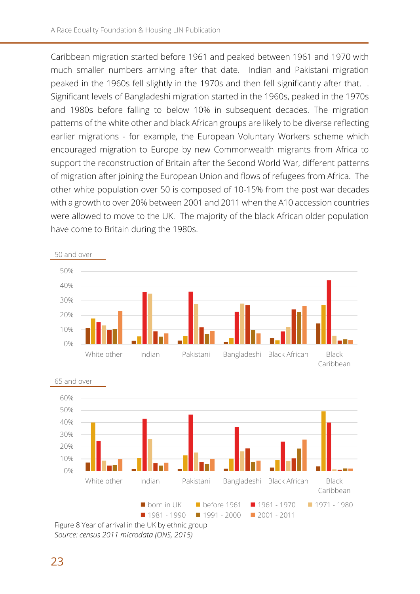Caribbean migration started before 1961 and peaked between 1961 and 1970 with much smaller numbers arriving after that date. Indian and Pakistani migration peaked in the 1960s fell slightly in the 1970s and then fell significantly after that. . Significant levels of Bangladeshi migration started in the 1960s, peaked in the 1970s and 1980s before falling to below 10% in subsequent decades. The migration patterns of the white other and black African groups are likely to be diverse reflecting earlier migrations - for example, the European Voluntary Workers scheme which encouraged migration to Europe by new Commonwealth migrants from Africa to support the reconstruction of Britain after the Second World War, different patterns of migration after joining the European Union and flows of refugees from Africa. The other white population over 50 is composed of 10-15% from the post war decades with a growth to over 20% between 2001 and 2011 when the A10 accession countries were allowed to move to the UK. The majority of the black African older population have come to Britain during the 1980s.





*Source: census 2011 microdata (ONS, 2015)*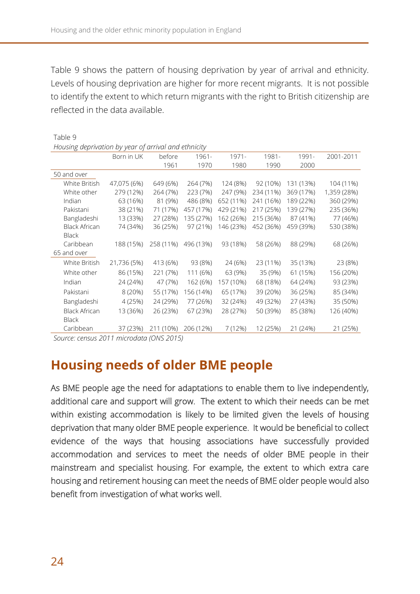Table 9 shows the pattern of housing deprivation by year of arrival and ethnicity. Levels of housing deprivation are higher for more recent migrants. It is not possible to identify the extent to which return migrants with the right to British citizenship are reflected in the data available.

| Table 9                                               |             |           |           |           |           |           |             |
|-------------------------------------------------------|-------------|-----------|-----------|-----------|-----------|-----------|-------------|
| Housing deprivation by year of arrival and ethnicity  |             |           |           |           |           |           |             |
|                                                       | Born in UK  | before    | 1961-     | $1971 -$  | 1981-     | 1991-     | 2001-2011   |
|                                                       |             | 1961      | 1970      | 1980      | 1990      | 2000      |             |
| 50 and over                                           |             |           |           |           |           |           |             |
| White British                                         | 47,075 (6%) | 649 (6%)  | 264 (7%)  | 124 (8%)  | 92 (10%)  | 131 (13%) | 104 (11%)   |
| White other                                           | 279 (12%)   | 264 (7%)  | 223 (7%)  | 247 (9%)  | 234 (11%) | 369 (17%) | 1,359 (28%) |
| Indian                                                | 63 (16%)    | 81 (9%)   | 486 (8%)  | 652 (11%) | 241 (16%) | 189 (22%) | 360 (29%)   |
| Pakistani                                             | 38 (21%)    | 71 (17%)  | 457 (17%) | 429 (21%) | 217 (25%) | 139 (27%) | 235 (36%)   |
| Bangladeshi                                           | 13 (33%)    | 27 (28%)  | 135 (27%) | 162 (26%) | 215 (36%) | 87 (41%)  | 77 (46%)    |
| <b>Black African</b>                                  | 74 (34%)    | 36 (25%)  | 97 (21%)  | 146 (23%) | 452 (36%) | 459 (39%) | 530 (38%)   |
| <b>Black</b>                                          |             |           |           |           |           |           |             |
| Caribbean                                             | 188 (15%)   | 258 (11%) | 496 (13%) | 93 (18%)  | 58 (26%)  | 88 (29%)  | 68 (26%)    |
| 65 and over                                           |             |           |           |           |           |           |             |
| White British                                         | 21,736 (5%) | 413 (6%)  | 93 (8%)   | 24 (6%)   | 23 (11%)  | 35 (13%)  | 23 (8%)     |
| White other                                           | 86 (15%)    | 221 (7%)  | 111 (6%)  | 63 (9%)   | 35 (9%)   | 61 (15%)  | 156 (20%)   |
| Indian                                                | 24 (24%)    | 47 (7%)   | 162 (6%)  | 157 (10%) | 68 (18%)  | 64 (24%)  | 93 (23%)    |
| Pakistani                                             | 8 (20%)     | 55 (17%)  | 156 (14%) | 65 (17%)  | 39 (20%)  | 36 (25%)  | 85 (34%)    |
| Bangladeshi                                           | 4 (25%)     | 24 (29%)  | 77 (26%)  | 32 (24%)  | 49 (32%)  | 27 (43%)  | 35 (50%)    |
| <b>Black African</b>                                  | 13 (36%)    | 26 (23%)  | 67 (23%)  | 28 (27%)  | 50 (39%)  | 85 (38%)  | 126 (40%)   |
| <b>Black</b>                                          |             |           |           |           |           |           |             |
| Caribbean                                             | 37 (23%)    | 211 (10%) | 206 (12%) | 7 (12%)   | 12 (25%)  | 21 (24%)  | 21 (25%)    |
| $C_{\text{ALHCO}}$ : cancus 2011 microdata (ONS 2015) |             |           |           |           |           |           |             |

*Source: census 2011 microdata (ONS 2015)*

# **Housing needs of older BME people**

As BME people age the need for adaptations to enable them to live independently, additional care and support will grow. The extent to which their needs can be met within existing accommodation is likely to be limited given the levels of housing deprivation that many older BME people experience. It would be beneficial to collect evidence of the ways that housing associations have successfully provided accommodation and services to meet the needs of older BME people in their mainstream and specialist housing. For example, the extent to which extra care housing and retirement housing can meet the needs of BME older people would also benefit from investigation of what works well.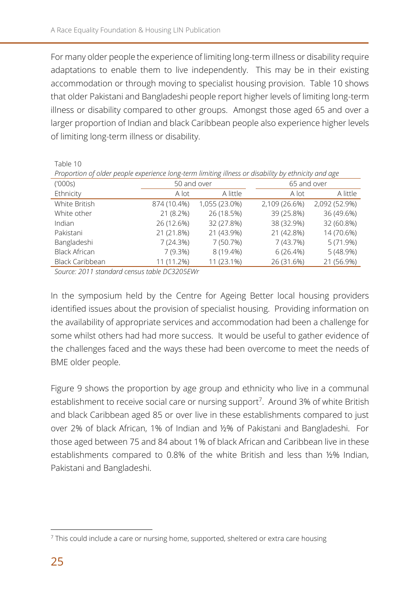For many older people the experience of limiting long-term illness or disability require adaptations to enable them to live independently. This may be in their existing accommodation or through moving to specialist housing provision. Table 10 shows that older Pakistani and Bangladeshi people report higher levels of limiting long-term illness or disability compared to other groups. Amongst those aged 65 and over a larger proportion of Indian and black Caribbean people also experience higher levels of limiting long-term illness or disability.

Table 10

| Proportion of older people experience long-term limiting illness or disability by ethnicity and age |             |               |               |               |
|-----------------------------------------------------------------------------------------------------|-------------|---------------|---------------|---------------|
| (1000s)                                                                                             | 50 and over |               | 65 and over   |               |
| Ethnicity                                                                                           | A lot       | A little      | A lot         | A little      |
| White British                                                                                       | 874 (10.4%) | 1,055 (23.0%) | 2,109 (26.6%) | 2,092 (52.9%) |
| White other                                                                                         | 21 (8.2%)   | 26 (18.5%)    | 39 (25.8%)    | 36 (49.6%)    |
| Indian                                                                                              | 26 (12.6%)  | 32 (27.8%)    | 38 (32.9%)    | 32 (60.8%)    |
| Pakistani                                                                                           | 21 (21.8%)  | 21 (43.9%)    | 21 (42.8%)    | 14 (70.6%)    |
| Bangladeshi                                                                                         | 7(24.3%)    | 7 (50.7%)     | 7(43.7%)      | 5(71.9%)      |
| <b>Black African</b>                                                                                | 7(9.3%)     | 8 (19.4%)     | 6(26.4%)      | 5(48.9%)      |
| <b>Black Caribbean</b>                                                                              | 11 (11.2%)  | 11 (23.1%)    | 26 (31.6%)    | 21 (56.9%)    |

*Source: 2011 standard census table DC3205EWr*

In the symposium held by the Centre for Ageing Better local housing providers identified issues about the provision of specialist housing. Providing information on the availability of appropriate services and accommodation had been a challenge for some whilst others had had more success. It would be useful to gather evidence of the challenges faced and the ways these had been overcome to meet the needs of BME older people.

Figure 9 shows the proportion by age group and ethnicity who live in a communal establishment to receive social care or nursing support<sup>7</sup>. Around 3% of white British and black Caribbean aged 85 or over live in these establishments compared to just over 2% of black African, 1% of Indian and ½% of Pakistani and Bangladeshi. For those aged between 75 and 84 about 1% of black African and Caribbean live in these establishments compared to 0.8% of the white British and less than ½% Indian, Pakistani and Bangladeshi.

-

<sup>&</sup>lt;sup>7</sup> This could include a care or nursing home, supported, sheltered or extra care housing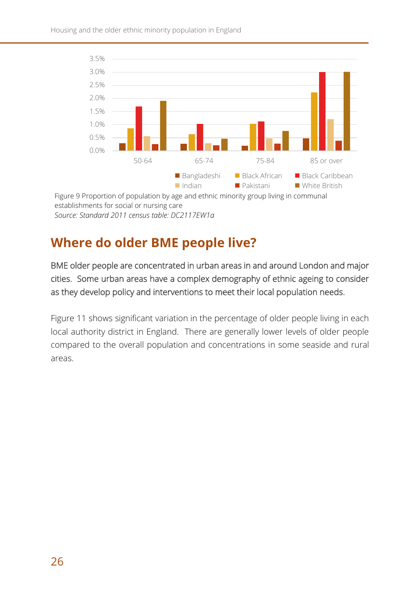

### *Source: Standard 2011 census table: DC2117EW1a*

### **Where do older BME people live?**

BME older people are concentrated in urban areas in and around London and major cities. Some urban areas have a complex demography of ethnic ageing to consider as they develop policy and interventions to meet their local population needs.

Figure 11 shows significant variation in the percentage of older people living in each local authority district in England. There are generally lower levels of older people compared to the overall population and concentrations in some seaside and rural areas.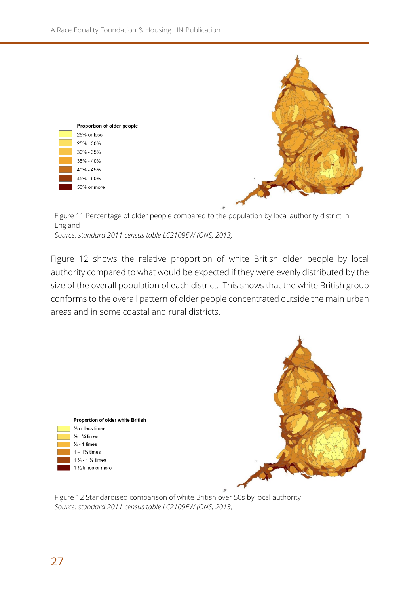

Figure 11 Percentage of older people compared to the population by local authority district in England *Source: standard 2011 census table LC2109EW (ONS, 2013)* 

Figure 12 shows the relative proportion of white British older people by local authority compared to what would be expected if they were evenly distributed by the size of the overall population of each district. This shows that the white British group conforms to the overall pattern of older people concentrated outside the main urban areas and in some coastal and rural districts.





Figure 12 Standardised comparison of white British over 50s by local authority *Source: standard 2011 census table LC2109EW (ONS, 2013)*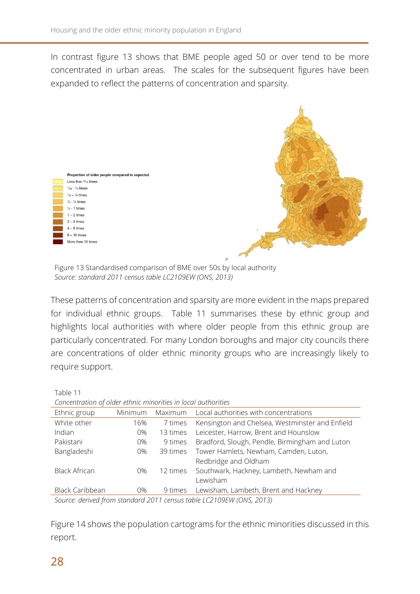In contrast figure 13 shows that BME people aged 50 or over tend to be more concentrated in urban areas. The scales for the subsequent figures have been expanded to reflect the patterns of concentration and sparsity.



Figure 13 Standardised comparison of BME over 50s by local authority *Source: standard 2011 census table LC2109EW (ONS, 2013)*

These patterns of concentration and sparsity are more evident in the maps prepared for individual ethnic groups. Table 11 summarises these by ethnic group and highlights local authorities with where older people from this ethnic group are particularly concentrated. For many London boroughs and major city councils there are concentrations of older ethnic minority groups who are increasingly likely to require support.

| Table 11                                                             |         |          |                                                 |
|----------------------------------------------------------------------|---------|----------|-------------------------------------------------|
| Concentration of older ethnic minorities in local authorities        |         |          |                                                 |
| Ethnic group                                                         | Minimum | Maximum  | Local authorities with concentrations           |
| White other                                                          | 16%     | 7 times  | Kensington and Chelsea, Westminster and Enfield |
| Indian                                                               | $0\%$   | 13 times | Leicester, Harrow, Brent and Hounslow           |
| Pakistani                                                            | $0\%$   | 9 times  | Bradford, Slough, Pendle, Birmingham and Luton  |
| Bangladeshi                                                          | 0%      | 39 times | Tower Hamlets, Newham, Camden, Luton,           |
|                                                                      |         |          | Redbridge and Oldham                            |
| <b>Black African</b>                                                 | $0\%$   | 12 times | Southwark, Hackney, Lambeth, Newham and         |
|                                                                      |         |          | Lewisham                                        |
| <b>Black Caribbean</b>                                               | $0\%$   | 9 times  | Lewisham, Lambeth, Brent and Hackney            |
| Source: derived from standard 2011 census table LC2109EW (ONS, 2013) |         |          |                                                 |

Figure 14 shows the population cartograms for the ethnic minorities discussed in this report.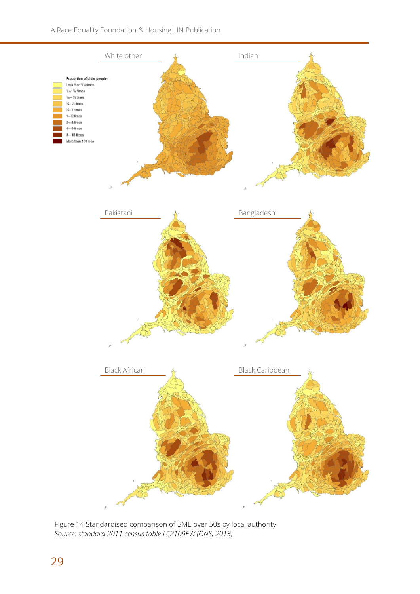

Figure 14 Standardised comparison of BME over 50s by local authority *Source: standard 2011 census table LC2109EW (ONS, 2013)*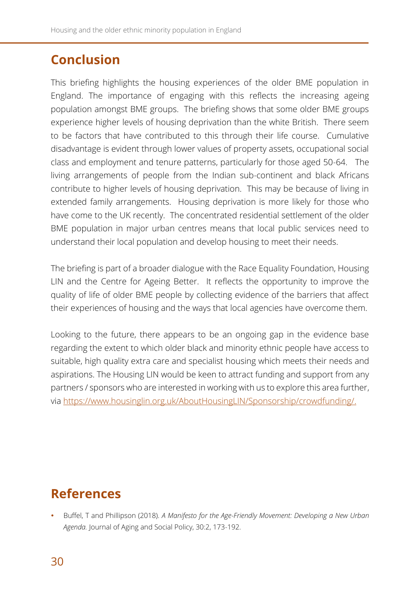# **Conclusion**

This briefing highlights the housing experiences of the older BME population in England. The importance of engaging with this reflects the increasing ageing population amongst BME groups. The briefing shows that some older BME groups experience higher levels of housing deprivation than the white British. There seem to be factors that have contributed to this through their life course. Cumulative disadvantage is evident through lower values of property assets, occupational social class and employment and tenure patterns, particularly for those aged 50-64. The living arrangements of people from the Indian sub-continent and black Africans contribute to higher levels of housing deprivation. This may be because of living in extended family arrangements. Housing deprivation is more likely for those who have come to the UK recently. The concentrated residential settlement of the older BME population in major urban centres means that local public services need to understand their local population and develop housing to meet their needs.

The briefing is part of a broader dialogue with the Race Equality Foundation, Housing LIN and the Centre for Ageing Better. It reflects the opportunity to improve the quality of life of older BME people by collecting evidence of the barriers that affect their experiences of housing and the ways that local agencies have overcome them.

Looking to the future, there appears to be an ongoing gap in the evidence base regarding the extent to which older black and minority ethnic people have access to suitable, high quality extra care and specialist housing which meets their needs and aspirations. The Housing LIN would be keen to attract funding and support from any partners / sponsors who are interested in working with us to explore this area further, via [https://www.housinglin.org.uk/AboutHousingLIN/Sponsorship/crowdfunding/.](https://www.housinglin.org.uk/AboutHousingLIN/Sponsorship/crowdfunding/)

# **References**

 Buffel, T and Phillipson (2018). *A Manifesto for the Age-Friendly Movement: Developing a New Urban Agenda.* Journal of Aging and Social Policy, 30:2, 173-192.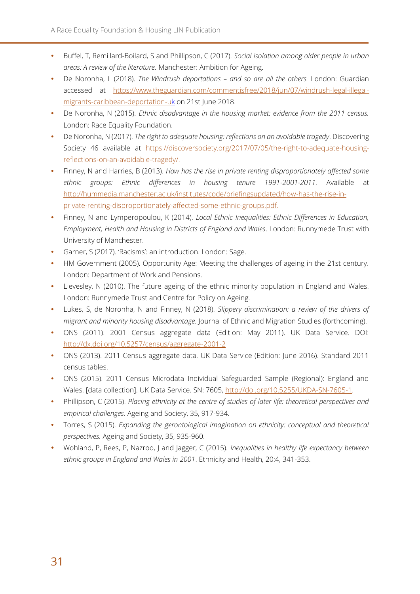- Buffel, T, Remillard-Boilard, S and Phillipson, C (2017). *Social isolation among older people in urban areas: A review of the literature.* Manchester: Ambition for Ageing.
- De Noronha, L (2018). *The Windrush deportations – and so are all the others.* London: Guardian accessed at [https://www.theguardian.com/commentisfree/2018/jun/07/windrush-legal-illegal](https://www.theguardian.com/commentisfree/2018/jun/07/windrush-legal-illegal-migrants-caribbean-deportation-uk)[migrants-caribbean-deportation-uk](https://www.theguardian.com/commentisfree/2018/jun/07/windrush-legal-illegal-migrants-caribbean-deportation-uk) on 21st June 2018.
- De Noronha, N (2015). *Ethnic disadvantage in the housing market: evidence from the 2011 census.* London: Race Equality Foundation.
- De Noronha, N (2017). *The right to adequate housing: reflections on an avoidable tragedy*. Discovering Society 46 available at [https://discoversociety.org/2017/07/05/the-right-to-adequate-housing](https://discoversociety.org/2017/07/05/the-right-to-adequate-housing-reflections-on-an-avoidable-tragedy/)[reflections-on-an-avoidable-tragedy/.](https://discoversociety.org/2017/07/05/the-right-to-adequate-housing-reflections-on-an-avoidable-tragedy/)
- Finney, N and Harries, B (2013). *How has the rise in private renting disproportionately affected some ethnic groups: Ethnic differences in housing tenure 1991-2001-2011.* Available at [http://hummedia.manchester.ac.uk/institutes/code/briefingsupdated/how-has-the-rise-in](http://hummedia.manchester.ac.uk/institutes/code/briefingsupdated/how-has-the-rise-in-private-renting-disproportionately-affected-some-ethnic-groups.pdf)[private-renting-disproportionately-affected-some-ethnic-groups.pdf.](http://hummedia.manchester.ac.uk/institutes/code/briefingsupdated/how-has-the-rise-in-private-renting-disproportionately-affected-some-ethnic-groups.pdf)
- Finney, N and Lymperopoulou, K (2014). *Local Ethnic Inequalities: Ethnic Differences in Education, Employment, Health and Housing in Districts of England and Wales*. London: Runnymede Trust with University of Manchester.
- Garner, S (2017). 'Racisms': an introduction. London: Sage.
- HM Government (2005). Opportunity Age: Meeting the challenges of ageing in the 21st century. London: Department of Work and Pensions.
- Lievesley, N (2010). The future ageing of the ethnic minority population in England and Wales. London: Runnymede Trust and Centre for Policy on Ageing.
- Lukes, S, de Noronha, N and Finney, N (2018). *Slippery discrimination: a review of the drivers of migrant and minority housing disadvantage*. Journal of Ethnic and Migration Studies (forthcoming).
- ONS (2011). 2001 Census aggregate data (Edition: May 2011). UK Data Service. DOI: <http://dx.doi.org/10.5257/census/aggregate-2001-2>
- ONS (2013). 2011 Census aggregate data. UK Data Service (Edition: June 2016). Standard 2011 census tables.
- ONS (2015). 2011 Census Microdata Individual Safeguarded Sample (Regional): England and Wales. [data collection]. UK Data Service. SN: 7605, [http://doi.org/10.5255/UKDA-SN-7605-1.](http://doi.org/10.5255/UKDA-SN-7605-1)
- Phillipson, C (2015). *Placing ethnicity at the centre of studies of later life: theoretical perspectives and empirical challenges*. Ageing and Society, 35, 917-934.
- Torres, S (2015). *Expanding the gerontological imagination on ethnicity: conceptual and theoretical perspectives.* Ageing and Society, 35, 935-960.
- Wohland, P, Rees, P, Nazroo, J and Jagger, C (2015). *Inequalities in healthy life expectancy between ethnic groups in England and Wales in 2001*. Ethnicity and Health, 20:4, 341-353.